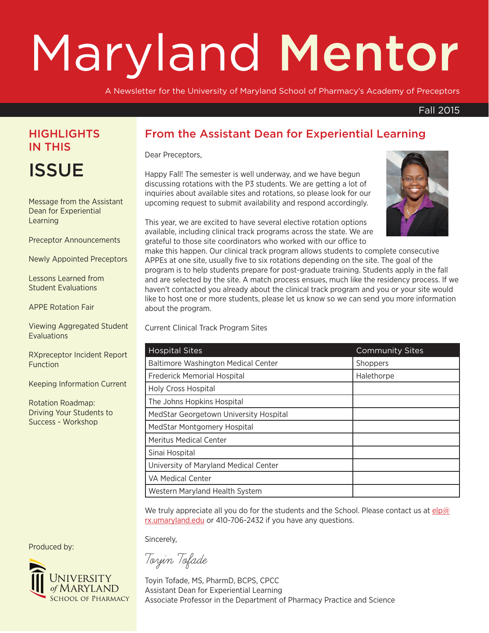# Maryland Mentor

A Newsletter for the University of Maryland School of Pharmacy's Academy of Preceptors

#### Fall 2015

### **HIGHLIGHTS** IN THIS

**ISSUE** 

Message from the Assistant Dean for Experiential Learning

Preceptor Announcements

Newly Appointed Preceptors

Lessons Learned from Student Evaluations

APPE Rotation Fair

Viewing Aggregated Student **Evaluations** 

RXpreceptor Incident Report **Function** 

Keeping Information Current

Rotation Roadmap: Driving Your Students to Success - Workshop

#### From the Assistant Dean for Experiential Learning

Dear Preceptors,

Happy Fall! The semester is well underway, and we have begun discussing rotations with the P3 students. We are getting a lot of inquiries about available sites and rotations, so please look for our upcoming request to submit availability and respond accordingly.



This year, we are excited to have several elective rotation options available, including clinical track programs across the state. We are grateful to those site coordinators who worked with our office to

make this happen. Our clinical track program allows students to complete consecutive APPEs at one site, usually five to six rotations depending on the site. The goal of the program is to help students prepare for post-graduate training. Students apply in the fall and are selected by the site. A match process ensues, much like the residency process. If we haven't contacted you already about the clinical track program and you or your site would like to host one or more students, please let us know so we can send you more information about the program.

Current Clinical Track Program Sites

| <b>Hospital Sites</b>                      | <b>Community Sites</b> |
|--------------------------------------------|------------------------|
| <b>Baltimore Washington Medical Center</b> | Shoppers               |
| Frederick Memorial Hospital                | Halethorpe             |
| <b>Holy Cross Hospital</b>                 |                        |
| The Johns Hopkins Hospital                 |                        |
| MedStar Georgetown University Hospital     |                        |
| MedStar Montgomery Hospital                |                        |
| <b>Meritus Medical Center</b>              |                        |
| Sinai Hospital                             |                        |
| University of Maryland Medical Center      |                        |
| VA Medical Center                          |                        |
| Western Maryland Health System             |                        |

We truly appreciate all you do for the students and the School. Please contact us at  $e/p@$ rx.umaryland.edu or 410-706-2432 if you have any questions.

Sincerely,

Toyin Tofade

Toyin Tofade, MS, PharmD, BCPS, CPCC Assistant Dean for Experiential Learning Associate Professor in the Department of Pharmacy Practice and Science

Produced by:

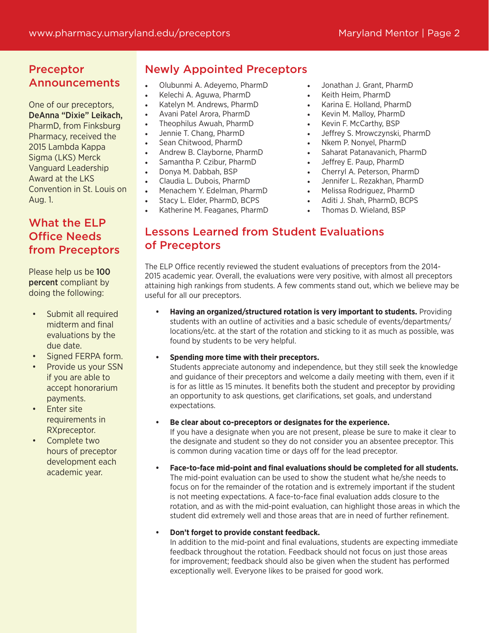#### Preceptor Announcements

One of our preceptors, DeAnna "Dixie" Leikach, PharmD, from Finksburg Pharmacy, received the 2015 Lambda Kappa Sigma (LKS) Merck Vanguard Leadership Award at the LKS Convention in St. Louis on Aug. 1.

#### What the ELP Office Needs from Preceptors

Please help us be 100 percent compliant by doing the following:

- Submit all required midterm and final evaluations by the due date.
- Signed FERPA form.
- Provide us your SSN if you are able to accept honorarium payments.
- Enter site requirements in RXpreceptor.
- Complete two hours of preceptor development each academic year.

#### Newly Appointed Preceptors

- Olubunmi A. Adeyemo, PharmD
- Kelechi A. Aguwa, PharmD
- Katelyn M. Andrews, PharmD
- Avani Patel Arora, PharmD
- Theophilus Awuah, PharmD
- Jennie T. Chang, PharmD
- Sean Chitwood, PharmD
- Andrew B. Clayborne, PharmD
- Samantha P. Czibur, PharmD
- Donya M. Dabbah, BSP
- Claudia L. Dubois, PharmD
- Menachem Y. Edelman, PharmD
	- Stacy L. Elder, PharmD, BCPS
- Katherine M. Feaganes, PharmD
- Jonathan J. Grant, PharmD
- Keith Heim, PharmD
- Karina E. Holland, PharmD
- Kevin M. Malloy, PharmD
- Kevin F. McCarthy, BSP
- Jeffrey S. Mrowczynski, PharmD
- Nkem P. Nonyel, PharmD
- Saharat Patanavanich, PharmD
- Jeffrey E. Paup, PharmD
- Cherryl A. Peterson, PharmD
- Jennifer L. Rezakhan, PharmD
- Melissa Rodriguez, PharmD
- Aditi J. Shah, PharmD, BCPS
- Thomas D. Wieland, BSP

#### Lessons Learned from Student Evaluations of Preceptors

The ELP Office recently reviewed the student evaluations of preceptors from the 2014- 2015 academic year. Overall, the evaluations were very positive, with almost all preceptors attaining high rankings from students. A few comments stand out, which we believe may be useful for all our preceptors.

**• Having an organized/structured rotation is very important to students.** Providing students with an outline of activities and a basic schedule of events/departments/ locations/etc. at the start of the rotation and sticking to it as much as possible, was found by students to be very helpful.

#### **• Spending more time with their preceptors.**

Students appreciate autonomy and independence, but they still seek the knowledge and guidance of their preceptors and welcome a daily meeting with them, even if it is for as little as 15 minutes. It benefits both the student and preceptor by providing an opportunity to ask questions, get clarifications, set goals, and understand expectations.

**• Be clear about co-preceptors or designates for the experience.**

If you have a designate when you are not present, please be sure to make it clear to the designate and student so they do not consider you an absentee preceptor. This is common during vacation time or days off for the lead preceptor.

**• Face-to-face mid-point and final evaluations should be completed for all students.** The mid-point evaluation can be used to show the student what he/she needs to focus on for the remainder of the rotation and is extremely important if the student is not meeting expectations. A face-to-face final evaluation adds closure to the rotation, and as with the mid-point evaluation, can highlight those areas in which the student did extremely well and those areas that are in need of further refinement.

#### **• Don't forget to provide constant feedback.**

In addition to the mid-point and final evaluations, students are expecting immediate feedback throughout the rotation. Feedback should not focus on just those areas for improvement; feedback should also be given when the student has performed exceptionally well. Everyone likes to be praised for good work.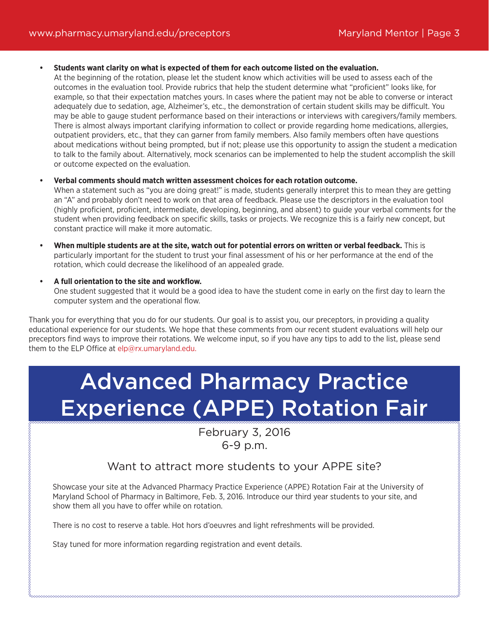**• Students want clarity on what is expected of them for each outcome listed on the evaluation.**

At the beginning of the rotation, please let the student know which activities will be used to assess each of the outcomes in the evaluation tool. Provide rubrics that help the student determine what "proficient" looks like, for example, so that their expectation matches yours. In cases where the patient may not be able to converse or interact adequately due to sedation, age, Alzheimer's, etc., the demonstration of certain student skills may be difficult. You may be able to gauge student performance based on their interactions or interviews with caregivers/family members. There is almost always important clarifying information to collect or provide regarding home medications, allergies, outpatient providers, etc., that they can garner from family members. Also family members often have questions about medications without being prompted, but if not; please use this opportunity to assign the student a medication to talk to the family about. Alternatively, mock scenarios can be implemented to help the student accomplish the skill or outcome expected on the evaluation.

- **• Verbal comments should match written assessment choices for each rotation outcome.** When a statement such as "you are doing great!" is made, students generally interpret this to mean they are getting an "A" and probably don't need to work on that area of feedback. Please use the descriptors in the evaluation tool (highly proficient, proficient, intermediate, developing, beginning, and absent) to guide your verbal comments for the student when providing feedback on specific skills, tasks or projects. We recognize this is a fairly new concept, but constant practice will make it more automatic.
- **• When multiple students are at the site, watch out for potential errors on written or verbal feedback.** This is particularly important for the student to trust your final assessment of his or her performance at the end of the rotation, which could decrease the likelihood of an appealed grade.
- **• A full orientation to the site and workflow.** One student suggested that it would be a good idea to have the student come in early on the first day to learn the computer system and the operational flow.

Thank you for everything that you do for our students. Our goal is to assist you, our preceptors, in providing a quality educational experience for our students. We hope that these comments from our recent student evaluations will help our preceptors find ways to improve their rotations. We welcome input, so if you have any tips to add to the list, please send them to the ELP Office at elp@rx.umaryland.edu.

## Advanced Pharmacy Practice Experience (APPE) Rotation Fair

February 3, 2016 6-9 p.m.

#### Want to attract more students to your APPE site?

Showcase your site at the Advanced Pharmacy Practice Experience (APPE) Rotation Fair at the University of Maryland School of Pharmacy in Baltimore, Feb. 3, 2016. Introduce our third year students to your site, and show them all you have to offer while on rotation.

There is no cost to reserve a table. Hot hors d'oeuvres and light refreshments will be provided.

Stay tuned for more information regarding registration and event details.